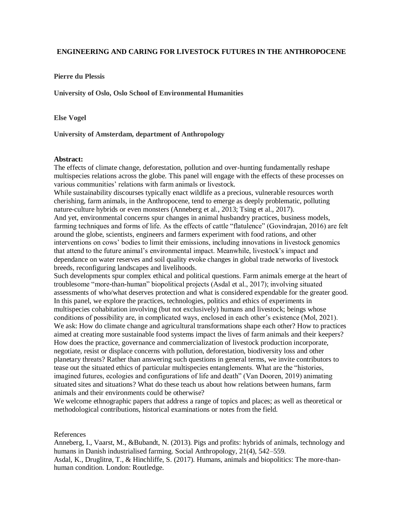## **ENGINEERING AND CARING FOR LIVESTOCK FUTURES IN THE ANTHROPOCENE**

**Pierre du Plessis**

**University of Oslo, Oslo School of Environmental Humanities**

**Else Vogel**

**University of Amsterdam, department of Anthropology**

## **Abstract:**

The effects of climate change, deforestation, pollution and over-hunting fundamentally reshape multispecies relations across the globe. This panel will engage with the effects of these processes on various communities' relations with farm animals or livestock.

While sustainability discourses typically enact wildlife as a precious, vulnerable resources worth cherishing, farm animals, in the Anthropocene, tend to emerge as deeply problematic, polluting nature-culture hybrids or even monsters (Anneberg et al., 2013; Tsing et al., 2017).

And yet, environmental concerns spur changes in animal husbandry practices, business models, farming techniques and forms of life. As the effects of cattle "flatulence" (Govindrajan, 2016) are felt around the globe, scientists, engineers and farmers experiment with food rations, and other interventions on cows' bodies to limit their emissions, including innovations in livestock genomics that attend to the future animal's environmental impact. Meanwhile, livestock's impact and dependance on water reserves and soil quality evoke changes in global trade networks of livestock breeds, reconfiguring landscapes and livelihoods.

Such developments spur complex ethical and political questions. Farm animals emerge at the heart of troublesome "more-than-human" biopolitical projects (Asdal et al., 2017); involving situated assessments of who/what deserves protection and what is considered expendable for the greater good. In this panel, we explore the practices, technologies, politics and ethics of experiments in multispecies cohabitation involving (but not exclusively) humans and livestock; beings whose conditions of possibility are, in complicated ways, enclosed in each other's existence (Mol, 2021). We ask: How do climate change and agricultural transformations shape each other? How to practices aimed at creating more sustainable food systems impact the lives of farm animals and their keepers? How does the practice, governance and commercialization of livestock production incorporate, negotiate, resist or displace concerns with pollution, deforestation, biodiversity loss and other planetary threats? Rather than answering such questions in general terms, we invite contributors to tease out the situated ethics of particular multispecies entanglements. What are the "histories, imagined futures, ecologies and configurations of life and death" (Van Dooren, 2019) animating situated sites and situations? What do these teach us about how relations between humans, farm animals and their environments could be otherwise?

We welcome ethnographic papers that address a range of topics and places; as well as theoretical or methodological contributions, historical examinations or notes from the field.

References

Anneberg, I., Vaarst, M., &Bubandt, N. (2013). Pigs and profits: hybrids of animals, technology and humans in Danish industrialised farming. Social Anthropology, 21(4), 542–559.

Asdal, K., Druglitrø, T., & Hinchliffe, S. (2017). Humans, animals and biopolitics: The more-thanhuman condition. London: Routledge.